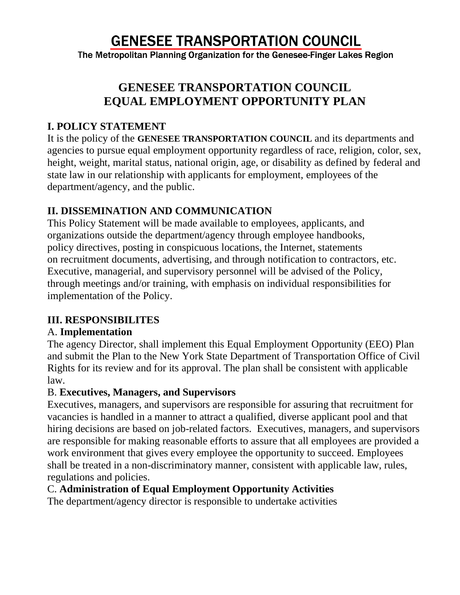# **GENESEE TRANSPORTATION COUNCIL**

The Metropolitan Planning Organization for the Genesee-Finger Lakes Region

# **GENESEE TRANSPORTATION COUNCIL EQUAL EMPLOYMENT OPPORTUNITY PLAN**

#### **I. POLICY STATEMENT**

It is the policy of the **GENESEE TRANSPORTATION COUNCIL** and its departments and agencies to pursue equal employment opportunity regardless of race, religion, color, sex, height, weight, marital status, national origin, age, or disability as defined by federal and state law in our relationship with applicants for employment, employees of the department/agency, and the public.

### **II. DISSEMINATION AND COMMUNICATION**

This Policy Statement will be made available to employees, applicants, and organizations outside the department/agency through employee handbooks, policy directives, posting in conspicuous locations, the Internet, statements on recruitment documents, advertising, and through notification to contractors, etc. Executive, managerial, and supervisory personnel will be advised of the Policy, through meetings and/or training, with emphasis on individual responsibilities for implementation of the Policy.

### **III. RESPONSIBILITES**

#### A. **Implementation**

The agency Director, shall implement this Equal Employment Opportunity (EEO) Plan and submit the Plan to the New York State Department of Transportation Office of Civil Rights for its review and for its approval. The plan shall be consistent with applicable law.

#### B. **Executives, Managers, and Supervisors**

Executives, managers, and supervisors are responsible for assuring that recruitment for vacancies is handled in a manner to attract a qualified, diverse applicant pool and that hiring decisions are based on job-related factors. Executives, managers, and supervisors are responsible for making reasonable efforts to assure that all employees are provided a work environment that gives every employee the opportunity to succeed. Employees shall be treated in a non-discriminatory manner, consistent with applicable law, rules, regulations and policies.

### C. **Administration of Equal Employment Opportunity Activities**

The department/agency director is responsible to undertake activities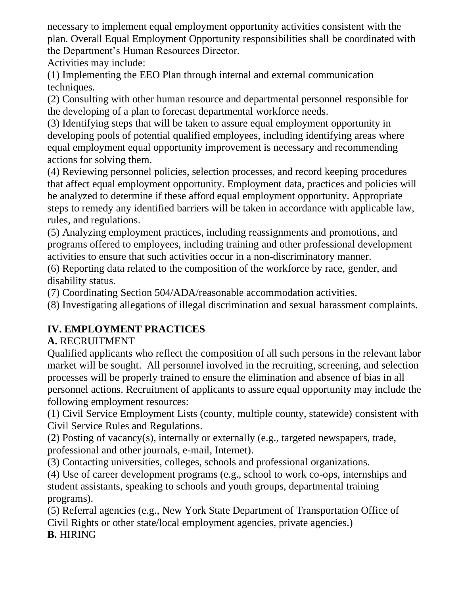necessary to implement equal employment opportunity activities consistent with the plan. Overall Equal Employment Opportunity responsibilities shall be coordinated with the Department's Human Resources Director.

Activities may include:

(1) Implementing the EEO Plan through internal and external communication techniques.

(2) Consulting with other human resource and departmental personnel responsible for the developing of a plan to forecast departmental workforce needs.

(3) Identifying steps that will be taken to assure equal employment opportunity in developing pools of potential qualified employees, including identifying areas where equal employment equal opportunity improvement is necessary and recommending actions for solving them.

(4) Reviewing personnel policies, selection processes, and record keeping procedures that affect equal employment opportunity. Employment data, practices and policies will be analyzed to determine if these afford equal employment opportunity. Appropriate steps to remedy any identified barriers will be taken in accordance with applicable law, rules, and regulations.

(5) Analyzing employment practices, including reassignments and promotions, and programs offered to employees, including training and other professional development activities to ensure that such activities occur in a non-discriminatory manner.

(6) Reporting data related to the composition of the workforce by race, gender, and disability status.

(7) Coordinating Section 504/ADA/reasonable accommodation activities.

(8) Investigating allegations of illegal discrimination and sexual harassment complaints.

# **IV. EMPLOYMENT PRACTICES**

### **A.** RECRUITMENT

Qualified applicants who reflect the composition of all such persons in the relevant labor market will be sought. All personnel involved in the recruiting, screening, and selection processes will be properly trained to ensure the elimination and absence of bias in all personnel actions. Recruitment of applicants to assure equal opportunity may include the following employment resources:

(1) Civil Service Employment Lists (county, multiple county, statewide) consistent with Civil Service Rules and Regulations.

(2) Posting of vacancy(s), internally or externally (e.g., targeted newspapers, trade, professional and other journals, e-mail, Internet).

(3) Contacting universities, colleges, schools and professional organizations.

(4) Use of career development programs (e.g., school to work co-ops, internships and student assistants, speaking to schools and youth groups, departmental training programs).

(5) Referral agencies (e.g., New York State Department of Transportation Office of Civil Rights or other state/local employment agencies, private agencies.) **B.** HIRING